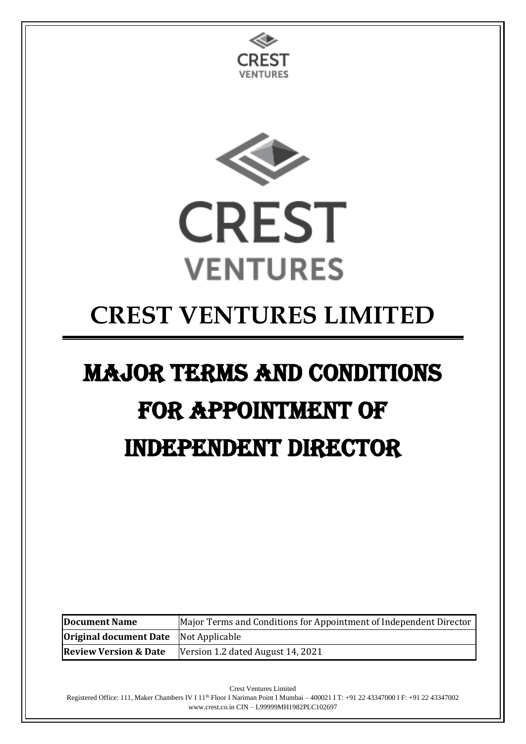



## **CREST VENTURES LIMITED**

# Major Terms and Conditions for Appointment of Independent Director

| Major Terms and Conditions for Appointment of Independent Director<br><b>Document Name</b> |                                   |
|--------------------------------------------------------------------------------------------|-----------------------------------|
| <b>Original document Date</b> Not Applicable                                               |                                   |
| <b>Review Version &amp; Date</b>                                                           | Version 1.2 dated August 14, 2021 |

Crest Ventures Limited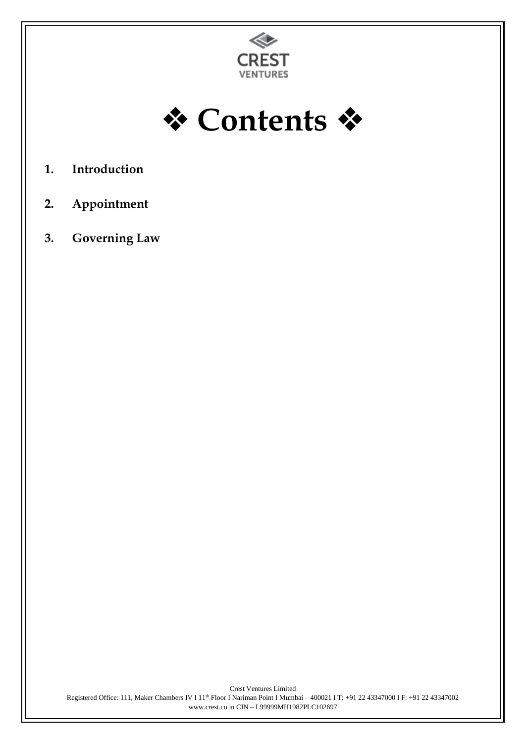



- **1. Introduction**
- **2. Appointment**
- **3. Governing Law**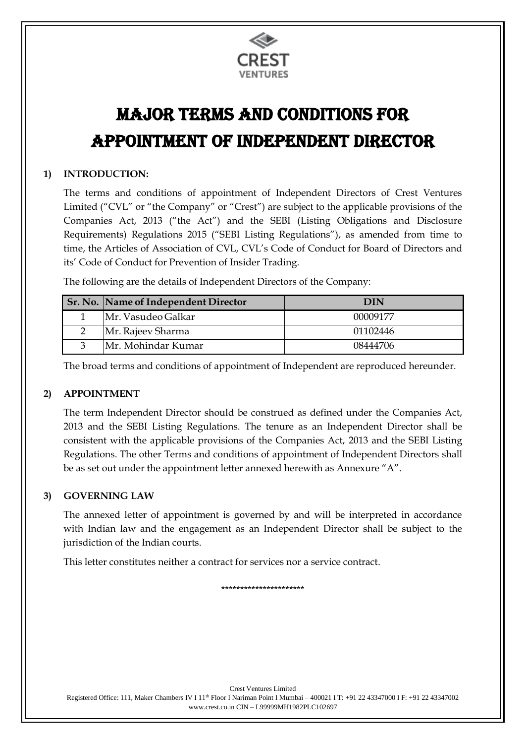

### Major Terms and Conditions for Appointment of Independent Director

#### **1) INTRODUCTION:**

The terms and conditions of appointment of Independent Directors of Crest Ventures Limited ("CVL" or "the Company" or "Crest") are subject to the applicable provisions of the Companies Act, 2013 ("the Act") and the SEBI (Listing Obligations and Disclosure Requirements) Regulations 2015 ("SEBI Listing Regulations"), as amended from time to time, the Articles of Association of CVL, CVL's Code of Conduct for Board of Directors and its' Code of Conduct for Prevention of Insider Trading.

The following are the details of Independent Directors of the Company:

| Sr. No. Name of Independent Director | DIN      |
|--------------------------------------|----------|
| Mr. Vasudeo Galkar                   | 00009177 |
| Mr. Rajeev Sharma                    | 01102446 |
| Mr. Mohindar Kumar                   | 08444706 |

The broad terms and conditions of appointment of Independent are reproduced hereunder.

#### **2) APPOINTMENT**

The term Independent Director should be construed as defined under the Companies Act, 2013 and the SEBI Listing Regulations. The tenure as an Independent Director shall be consistent with the applicable provisions of the Companies Act, 2013 and the SEBI Listing Regulations. The other Terms and conditions of appointment of Independent Directors shall be as set out under the appointment letter annexed herewith as Annexure "A".

#### **3) GOVERNING LAW**

The annexed letter of appointment is governed by and will be interpreted in accordance with Indian law and the engagement as an Independent Director shall be subject to the jurisdiction of the Indian courts.

This letter constitutes neither a contract for services nor a service contract.

\*\*\*\*\*\*\*\*\*\*\*\*\*\*\*\*\*\*\*\*\*\*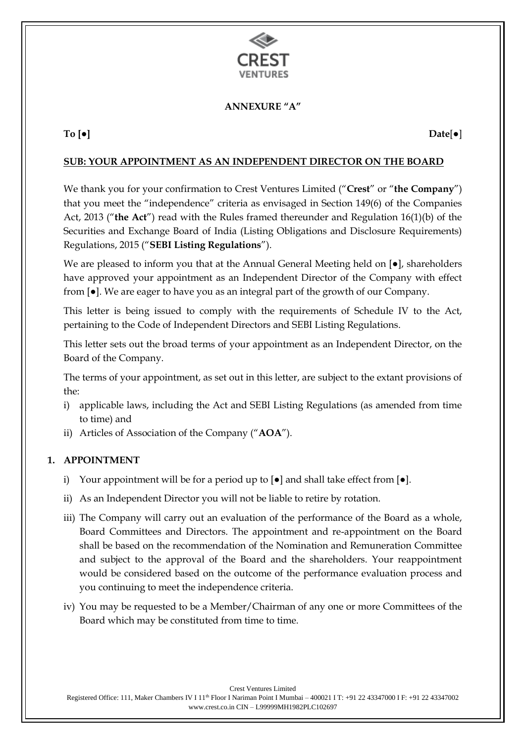

#### **ANNEXURE "A"**

**To [●] Date**[●]

#### **SUB: YOUR APPOINTMENT AS AN INDEPENDENT DIRECTOR ON THE BOARD**

We thank you for your confirmation to Crest Ventures Limited ("**Crest**" or "**the Company**") that you meet the "independence" criteria as envisaged in Section 149(6) of the Companies Act, 2013 ("**the Act**") read with the Rules framed thereunder and Regulation 16(1)(b) of the Securities and Exchange Board of India (Listing Obligations and Disclosure Requirements) Regulations, 2015 ("**SEBI Listing Regulations**").

We are pleased to inform you that at the Annual General Meeting held on  $[•]$ , shareholders have approved your appointment as an Independent Director of the Company with effect from [●]. We are eager to have you as an integral part of the growth of our Company.

This letter is being issued to comply with the requirements of Schedule IV to the Act, pertaining to the Code of Independent Directors and SEBI Listing Regulations.

This letter sets out the broad terms of your appointment as an Independent Director, on the Board of the Company.

The terms of your appointment, as set out in this letter, are subject to the extant provisions of the:

- i) applicable laws, including the Act and SEBI Listing Regulations (as amended from time to time) and
- ii) Articles of Association of the Company ("**AOA**").

#### **1. APPOINTMENT**

- i) Your appointment will be for a period up to  $\lceil \bullet \rceil$  and shall take effect from  $\lceil \bullet \rceil$ .
- ii) As an Independent Director you will not be liable to retire by rotation.
- iii) The Company will carry out an evaluation of the performance of the Board as a whole, Board Committees and Directors. The appointment and re-appointment on the Board shall be based on the recommendation of the Nomination and Remuneration Committee and subject to the approval of the Board and the shareholders. Your reappointment would be considered based on the outcome of the performance evaluation process and you continuing to meet the independence criteria.
- iv) You may be requested to be a Member/Chairman of any one or more Committees of the Board which may be constituted from time to time.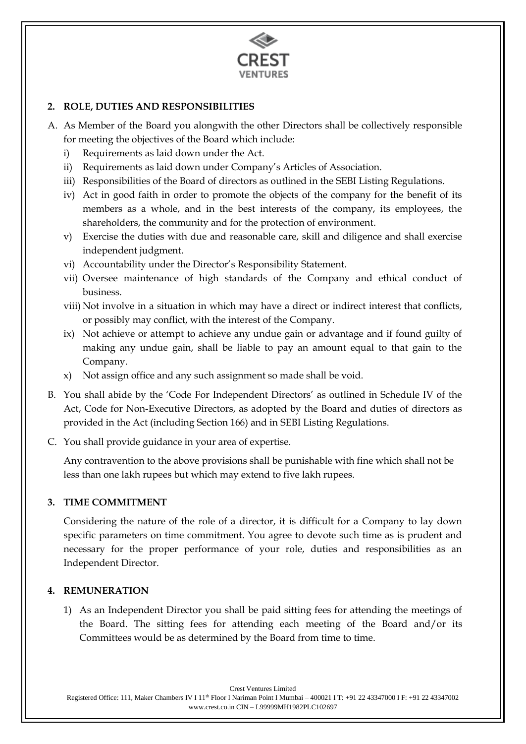

#### **2. ROLE, DUTIES AND RESPONSIBILITIES**

- A. As Member of the Board you alongwith the other Directors shall be collectively responsible for meeting the objectives of the Board which include:
	- i) Requirements as laid down under the Act.
	- ii) Requirements as laid down under Company's Articles of Association.
	- iii) Responsibilities of the Board of directors as outlined in the SEBI Listing Regulations.
	- iv) Act in good faith in order to promote the objects of the company for the benefit of its members as a whole, and in the best interests of the company, its employees, the shareholders, the community and for the protection of environment.
	- v) Exercise the duties with due and reasonable care, skill and diligence and shall exercise independent judgment.
	- vi) Accountability under the Director's Responsibility Statement.
	- vii) Oversee maintenance of high standards of the Company and ethical conduct of business.
	- viii) Not involve in a situation in which may have a direct or indirect interest that conflicts, or possibly may conflict, with the interest of the Company.
	- ix) Not achieve or attempt to achieve any undue gain or advantage and if found guilty of making any undue gain, shall be liable to pay an amount equal to that gain to the Company.
	- x) Not assign office and any such assignment so made shall be void.
- B. You shall abide by the 'Code For Independent Directors' as outlined in Schedule IV of the Act, Code for Non-Executive Directors, as adopted by the Board and duties of directors as provided in the Act (including Section 166) and in SEBI Listing Regulations.
- C. You shall provide guidance in your area of expertise.

Any contravention to the above provisions shall be punishable with fine which shall not be less than one lakh rupees but which may extend to five lakh rupees.

#### **3. TIME COMMITMENT**

Considering the nature of the role of a director, it is difficult for a Company to lay down specific parameters on time commitment. You agree to devote such time as is prudent and necessary for the proper performance of your role, duties and responsibilities as an Independent Director.

#### **4. REMUNERATION**

1) As an Independent Director you shall be paid sitting fees for attending the meetings of the Board. The sitting fees for attending each meeting of the Board and/or its Committees would be as determined by the Board from time to time.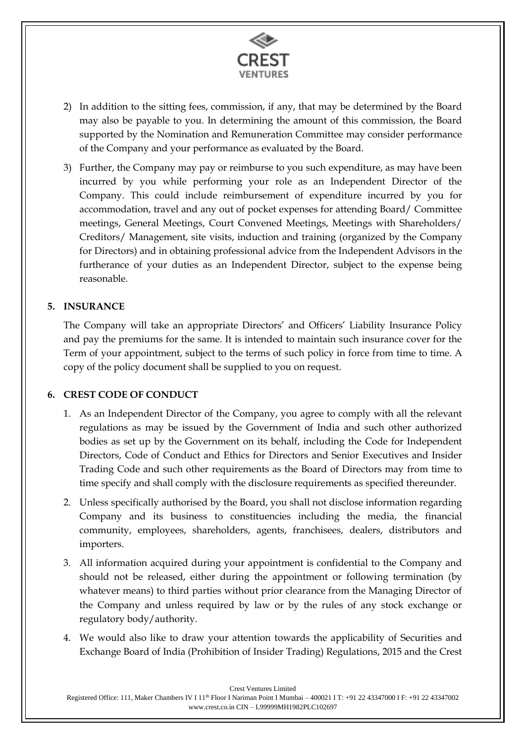

- 2) In addition to the sitting fees, commission, if any, that may be determined by the Board may also be payable to you. In determining the amount of this commission, the Board supported by the Nomination and Remuneration Committee may consider performance of the Company and your performance as evaluated by the Board.
- 3) Further, the Company may pay or reimburse to you such expenditure, as may have been incurred by you while performing your role as an Independent Director of the Company. This could include reimbursement of expenditure incurred by you for accommodation, travel and any out of pocket expenses for attending Board/ Committee meetings, General Meetings, Court Convened Meetings, Meetings with Shareholders/ Creditors/ Management, site visits, induction and training (organized by the Company for Directors) and in obtaining professional advice from the Independent Advisors in the furtherance of your duties as an Independent Director, subject to the expense being reasonable.

#### **5. INSURANCE**

The Company will take an appropriate Directors' and Officers' Liability Insurance Policy and pay the premiums for the same. It is intended to maintain such insurance cover for the Term of your appointment, subject to the terms of such policy in force from time to time. A copy of the policy document shall be supplied to you on request.

#### **6. CREST CODE OF CONDUCT**

- 1. As an Independent Director of the Company, you agree to comply with all the relevant regulations as may be issued by the Government of India and such other authorized bodies as set up by the Government on its behalf, including the Code for Independent Directors, Code of Conduct and Ethics for Directors and Senior Executives and Insider Trading Code and such other requirements as the Board of Directors may from time to time specify and shall comply with the disclosure requirements as specified thereunder.
- 2. Unless specifically authorised by the Board, you shall not disclose information regarding Company and its business to constituencies including the media, the financial community, employees, shareholders, agents, franchisees, dealers, distributors and importers.
- 3. All information acquired during your appointment is confidential to the Company and should not be released, either during the appointment or following termination (by whatever means) to third parties without prior clearance from the Managing Director of the Company and unless required by law or by the rules of any stock exchange or regulatory body/authority.
- 4. We would also like to draw your attention towards the applicability of Securities and Exchange Board of India (Prohibition of Insider Trading) Regulations, 2015 and the Crest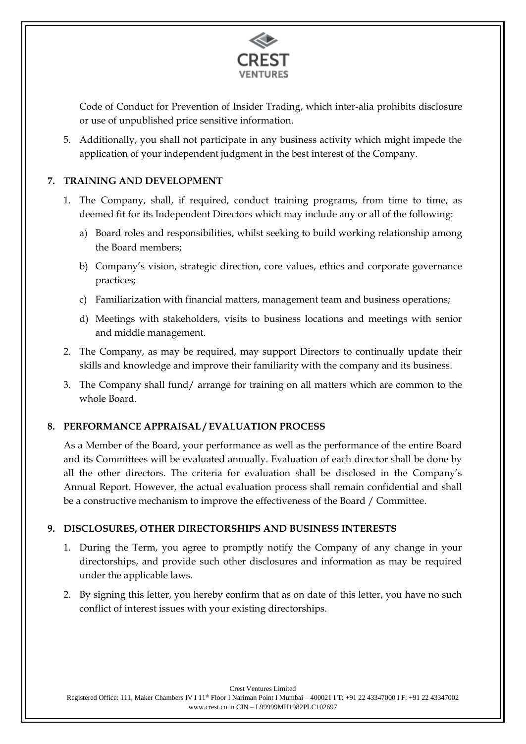

Code of Conduct for Prevention of Insider Trading, which inter-alia prohibits disclosure or use of unpublished price sensitive information.

5. Additionally, you shall not participate in any business activity which might impede the application of your independent judgment in the best interest of the Company.

#### **7. TRAINING AND DEVELOPMENT**

- 1. The Company, shall, if required, conduct training programs, from time to time, as deemed fit for its Independent Directors which may include any or all of the following:
	- a) Board roles and responsibilities, whilst seeking to build working relationship among the Board members;
	- b) Company's vision, strategic direction, core values, ethics and corporate governance practices;
	- c) Familiarization with financial matters, management team and business operations;
	- d) Meetings with stakeholders, visits to business locations and meetings with senior and middle management.
- 2. The Company, as may be required, may support Directors to continually update their skills and knowledge and improve their familiarity with the company and its business.
- 3. The Company shall fund/ arrange for training on all matters which are common to the whole Board.

#### **8. PERFORMANCE APPRAISAL / EVALUATION PROCESS**

As a Member of the Board, your performance as well as the performance of the entire Board and its Committees will be evaluated annually. Evaluation of each director shall be done by all the other directors. The criteria for evaluation shall be disclosed in the Company's Annual Report. However, the actual evaluation process shall remain confidential and shall be a constructive mechanism to improve the effectiveness of the Board / Committee.

#### **9. DISCLOSURES, OTHER DIRECTORSHIPS AND BUSINESS INTERESTS**

- 1. During the Term, you agree to promptly notify the Company of any change in your directorships, and provide such other disclosures and information as may be required under the applicable laws.
- 2. By signing this letter, you hereby confirm that as on date of this letter, you have no such conflict of interest issues with your existing directorships.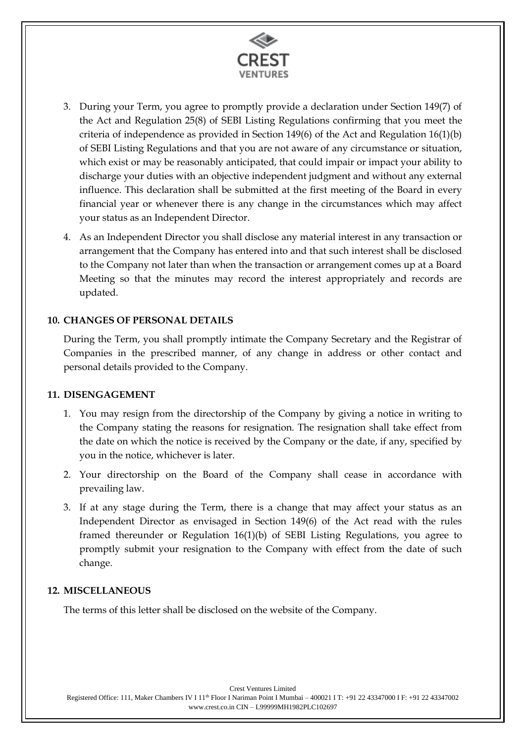

- 3. During your Term, you agree to promptly provide a declaration under Section 149(7) of the Act and Regulation 25(8) of SEBI Listing Regulations confirming that you meet the criteria of independence as provided in Section 149(6) of the Act and Regulation 16(1)(b) of SEBI Listing Regulations and that you are not aware of any circumstance or situation, which exist or may be reasonably anticipated, that could impair or impact your ability to discharge your duties with an objective independent judgment and without any external influence. This declaration shall be submitted at the first meeting of the Board in every financial year or whenever there is any change in the circumstances which may affect your status as an Independent Director.
- 4. As an Independent Director you shall disclose any material interest in any transaction or arrangement that the Company has entered into and that such interest shall be disclosed to the Company not later than when the transaction or arrangement comes up at a Board Meeting so that the minutes may record the interest appropriately and records are updated.

#### **10. CHANGES OF PERSONAL DETAILS**

During the Term, you shall promptly intimate the Company Secretary and the Registrar of Companies in the prescribed manner, of any change in address or other contact and personal details provided to the Company.

#### **11. DISENGAGEMENT**

- 1. You may resign from the directorship of the Company by giving a notice in writing to the Company stating the reasons for resignation. The resignation shall take effect from the date on which the notice is received by the Company or the date, if any, specified by you in the notice, whichever is later.
- 2. Your directorship on the Board of the Company shall cease in accordance with prevailing law.
- 3. If at any stage during the Term, there is a change that may affect your status as an Independent Director as envisaged in Section 149(6) of the Act read with the rules framed thereunder or Regulation 16(1)(b) of SEBI Listing Regulations, you agree to promptly submit your resignation to the Company with effect from the date of such change.

#### **12. MISCELLANEOUS**

The terms of this letter shall be disclosed on the website of the Company.